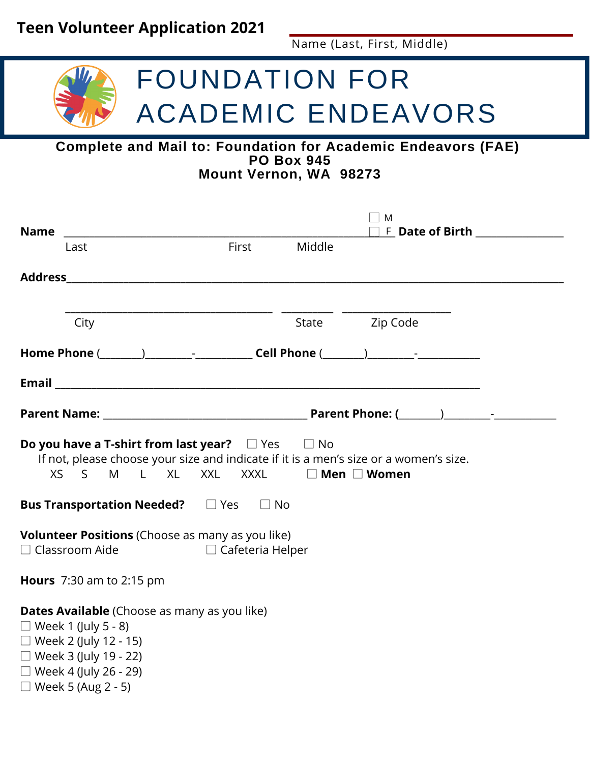## **Teen Volunteer Application 2021**

Name (Last, First, Middle)

## FOUNDATION FOR ACADEMIC ENDEAVORS

#### **Complete and Mail to: Foundation for Academic Endeavors (FAE) PO Box 945 Mount Vernon, WA 98273**

| <b>Name</b>                                                                                                                                                                                             |                                                                                                                                                                                                                               |              |  | M<br>$F$ Date of Birth _______________ |  |  |  |
|---------------------------------------------------------------------------------------------------------------------------------------------------------------------------------------------------------|-------------------------------------------------------------------------------------------------------------------------------------------------------------------------------------------------------------------------------|--------------|--|----------------------------------------|--|--|--|
|                                                                                                                                                                                                         | Last                                                                                                                                                                                                                          | First Middle |  |                                        |  |  |  |
|                                                                                                                                                                                                         |                                                                                                                                                                                                                               |              |  |                                        |  |  |  |
|                                                                                                                                                                                                         | City                                                                                                                                                                                                                          |              |  | State Zip Code                         |  |  |  |
|                                                                                                                                                                                                         | Home Phone ( and ) and ( and ) call Phone ( and ) and 2 and 2 and 2 and 2 and 2 and 2 and 2 and 2 and 2 and 2 and 2 and 2 and 2 and 2 and 2 and 2 and 2 and 2 and 2 and 2 and 2 and 2 and 2 and 2 and 2 and 2 and 2 and 2 and |              |  |                                        |  |  |  |
|                                                                                                                                                                                                         |                                                                                                                                                                                                                               |              |  |                                        |  |  |  |
|                                                                                                                                                                                                         |                                                                                                                                                                                                                               |              |  |                                        |  |  |  |
| <b>Do you have a T-shirt from last year?</b> $\Box$ Yes $\Box$ No<br>If not, please choose your size and indicate if it is a men's size or a women's size.<br>S M L XL XXL XXXL □ Men □ Women<br>XS     |                                                                                                                                                                                                                               |              |  |                                        |  |  |  |
| <b>Bus Transportation Needed?</b> DYes DNo                                                                                                                                                              |                                                                                                                                                                                                                               |              |  |                                        |  |  |  |
| <b>Volunteer Positions</b> (Choose as many as you like)<br>$\Box$ Classroom Aide<br>$\Box$ Cafeteria Helper                                                                                             |                                                                                                                                                                                                                               |              |  |                                        |  |  |  |
| <b>Hours</b> 7:30 am to 2:15 pm                                                                                                                                                                         |                                                                                                                                                                                                                               |              |  |                                        |  |  |  |
| Dates Available (Choose as many as you like)<br>$\Box$ Week 1 (July 5 - 8)<br>$\Box$ Week 2 (July 12 - 15)<br>$\Box$ Week 3 (July 19 - 22)<br>$\Box$ Week 4 (July 26 - 29)<br>$\Box$ Week 5 (Aug 2 - 5) |                                                                                                                                                                                                                               |              |  |                                        |  |  |  |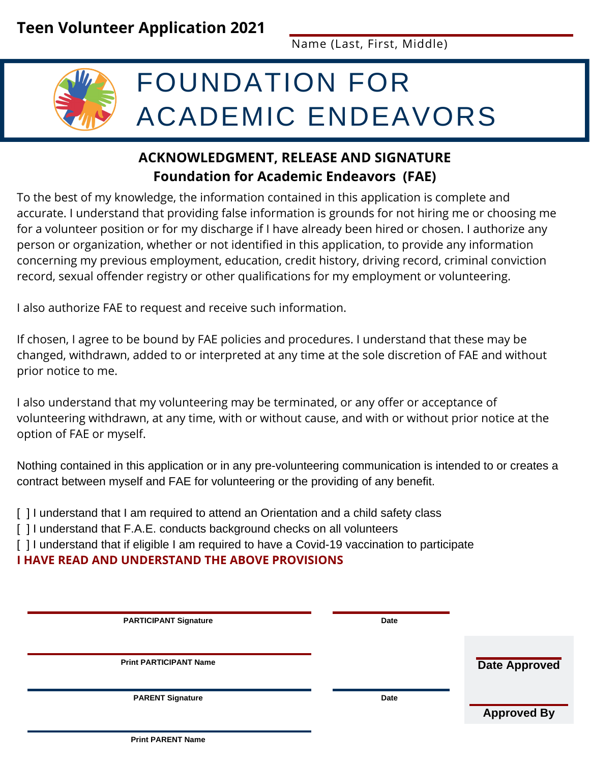Name (Last, First, Middle)

# FOUNDATION FOR ACADEMIC ENDEAVORS

#### **ACKNOWLEDGMENT, RELEASE AND SIGNATURE Foundation for Academic Endeavors (FAE)**

To the best of my knowledge, the information contained in this application is complete and accurate. I understand that providing false information is grounds for not hiring me or choosing me for a volunteer position or for my discharge if I have already been hired or chosen. I authorize any person or organization, whether or not identified in this application, to provide any information concerning my previous employment, education, credit history, driving record, criminal conviction record, sexual offender registry or other qualifications for my employment or volunteering.

I also authorize FAE to request and receive such information.

If chosen, I agree to be bound by FAE policies and procedures. I understand that these may be changed, withdrawn, added to or interpreted at any time at the sole discretion of FAE and without prior notice to me.

I also understand that my volunteering may be terminated, or any offer or acceptance of volunteering withdrawn, at any time, with or without cause, and with or without prior notice at the option of FAE or myself.

Nothing contained in this application or in any pre-volunteering communication is intended to or creates a contract between myself and FAE for volunteering or the providing of any benefit.

[] I understand that I am required to attend an Orientation and a child safety class

[] I understand that F.A.E. conducts background checks on all volunteers

[] I understand that if eligible I am required to have a Covid-19 vaccination to participate

**I HAVE READ AND UNDERSTAND THE ABOVE PROVISIONS**

| <b>PARTICIPANT Signature</b>  | Date |                      |
|-------------------------------|------|----------------------|
|                               |      |                      |
|                               |      |                      |
| <b>Print PARTICIPANT Name</b> |      | <b>Date Approved</b> |
|                               |      |                      |
|                               |      |                      |
| <b>PARENT Signature</b>       | Date |                      |
|                               |      | <b>Approved By</b>   |
|                               |      |                      |

**Print PARENT Name**